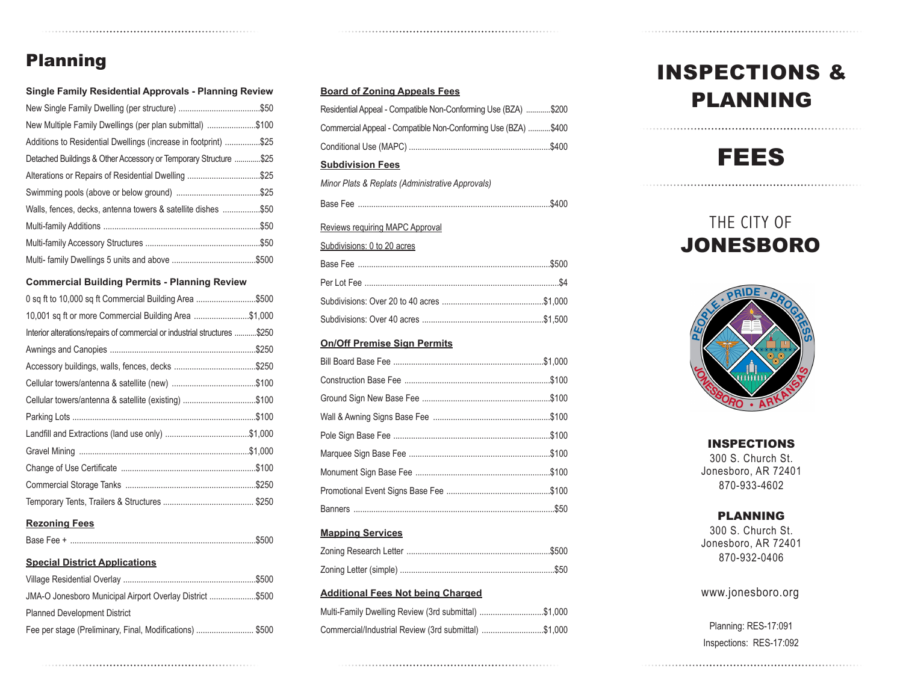#### Planning

Fee per stage (Preliminary, Final, Modifications) ............................. \$500

#### **Board of Zoning Appeals Fees** Residential Appeal - Compatible Non-Conforming Use (BZA) ............\$200 Commercial Appeal - Compatible Non-Conforming Use (BZA) ...........\$400 Conditional Use (MAPC) ................................................................\$400 **Subdivision Fees** *Minor Plats & Replats (Administrative Approvals)* Base Fee .......................................................................................\$400 Reviews requiring MAPC Approval Subdivisions: 0 to 20 acres Base Fee .......................................................................................\$500 Per Lot Fee ........................................................................................\$4 Subdivisions: Over 20 to 40 acres ..............................................\$1,000 Subdivisions: Over 40 acres .......................................................\$1,500 **On/Off Premise Sign Permits** Bill Board Base Fee ....................................................................\$1,000 Construction Base Fee ..................................................................\$100 Ground Sign New Base Fee ..........................................................\$100 Wall & Awning Signs Base Fee .....................................................\$100 Pole Sign Base Fee .......................................................................\$100 Marquee Sign Base Fee ................................................................\$100 Monument Sign Base Fee .............................................................\$100 Promotional Event Signs Base Fee ...............................................\$100 Banners ...........................................................................................\$50 **Mapping Services**

| Multi-Family Dwelling Review (3rd submittal) \$1,000 |  |
|------------------------------------------------------|--|
| Commercial/Industrial Review (3rd submittal) \$1,000 |  |

# INSPECTIONS & PLANNING

## FEES

## THE CITY OF **JONESBORO**



INSPECTIONS 300 S. Church St. Jonesboro, AR 72401 870-933-4602

#### PLANNING

300 S. Church St. Jonesboro, AR 72401 870-932-0406

www.jonesboro.org

Planning: RES-17:091 Inspections: RES-17:092